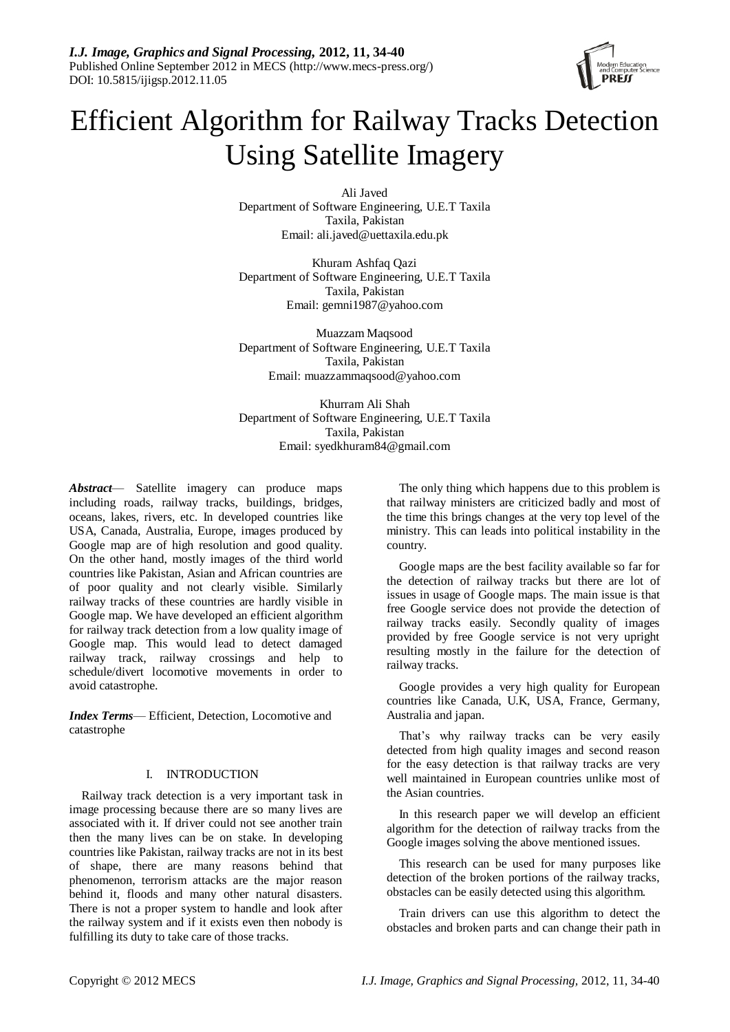

# Efficient Algorithm for Railway Tracks Detection Using Satellite Imagery

Ali Javed Department of Software Engineering, U.E.T Taxila Taxila, Pakistan Email: ali.javed@uettaxila.edu.pk

Khuram Ashfaq Qazi Department of Software Engineering, U.E.T Taxila Taxila, Pakistan Email: gemni1987@yahoo.com

Muazzam Maqsood Department of Software Engineering, U.E.T Taxila Taxila, Pakistan Email: muazzammaqsood@yahoo.com

Khurram Ali Shah Department of Software Engineering, U.E.T Taxila Taxila, Pakistan Email: syedkhuram84@gmail.com

*Abstract*— Satellite imagery can produce maps including roads, railway tracks, buildings, bridges, oceans, lakes, rivers, etc. In developed countries like USA, Canada, Australia, Europe, images produced by Google map are of high resolution and good quality. On the other hand, mostly images of the third world countries like Pakistan, Asian and African countries are of poor quality and not clearly visible. Similarly railway tracks of these countries are hardly visible in Google map. We have developed an efficient algorithm for railway track detection from a low quality image of Google map. This would lead to detect damaged railway track, railway crossings and help to schedule/divert locomotive movements in order to avoid catastrophe.

*Index Terms*— Efficient, Detection, Locomotive and catastrophe

# I. INTRODUCTION

Railway track detection is a very important task in image processing because there are so many lives are associated with it. If driver could not see another train then the many lives can be on stake. In developing countries like Pakistan, railway tracks are not in its best of shape, there are many reasons behind that phenomenon, terrorism attacks are the major reason behind it, floods and many other natural disasters. There is not a proper system to handle and look after the railway system and if it exists even then nobody is fulfilling its duty to take care of those tracks.

The only thing which happens due to this problem is that railway ministers are criticized badly and most of the time this brings changes at the very top level of the ministry. This can leads into political instability in the country.

Google maps are the best facility available so far for the detection of railway tracks but there are lot of issues in usage of Google maps. The main issue is that free Google service does not provide the detection of railway tracks easily. Secondly quality of images provided by free Google service is not very upright resulting mostly in the failure for the detection of railway tracks.

Google provides a very high quality for European countries like Canada, U.K, USA, France, Germany, Australia and japan.

That's why railway tracks can be very easily detected from high quality images and second reason for the easy detection is that railway tracks are very well maintained in European countries unlike most of the Asian countries.

In this research paper we will develop an efficient algorithm for the detection of railway tracks from the Google images solving the above mentioned issues.

This research can be used for many purposes like detection of the broken portions of the railway tracks, obstacles can be easily detected using this algorithm.

Train drivers can use this algorithm to detect the obstacles and broken parts and can change their path in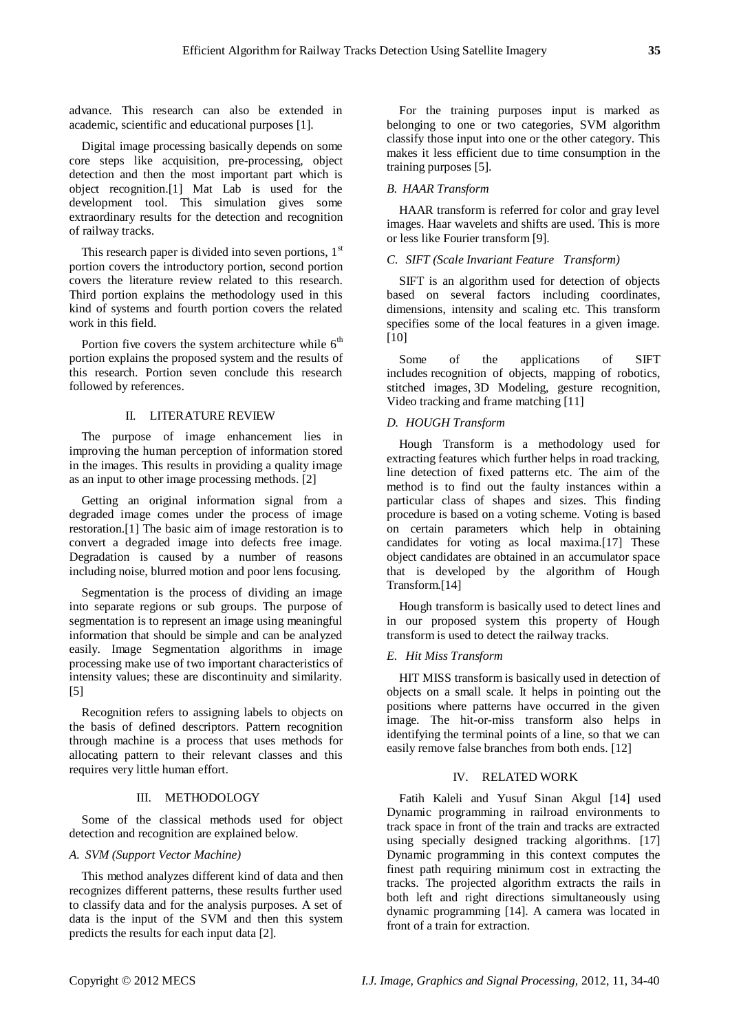advance. This research can also be extended in academic, scientific and educational purposes [1].

Digital image processing basically depends on some core steps like acquisition, pre-processing, object detection and then the most important part which is object recognition.[1] Mat Lab is used for the development tool. This simulation gives some extraordinary results for the detection and recognition of railway tracks.

This research paper is divided into seven portions,  $1<sup>st</sup>$ portion covers the introductory portion, second portion covers the literature review related to this research. Third portion explains the methodology used in this kind of systems and fourth portion covers the related work in this field.

Portion five covers the system architecture while  $6<sup>th</sup>$ portion explains the proposed system and the results of this research. Portion seven conclude this research followed by references.

# II. LITERATURE REVIEW

The purpose of image enhancement lies in improving the human perception of information stored in the images. This results in providing a quality image as an input to other image processing methods. [2]

Getting an original information signal from a degraded image comes under the process of image restoration.[1] The basic aim of image restoration is to convert a degraded image into defects free image. Degradation is caused by a number of reasons including noise, blurred motion and poor lens focusing.

Segmentation is the process of dividing an image into separate regions or sub groups. The purpose of segmentation is to represent an image using meaningful information that should be simple and can be analyzed easily. Image Segmentation algorithms in image processing make use of two important characteristics of intensity values; these are discontinuity and similarity. [5]

Recognition refers to assigning labels to objects on the basis of defined descriptors. Pattern recognition through machine is a process that uses methods for allocating pattern to their relevant classes and this requires very little human effort.

# III. METHODOLOGY

Some of the classical methods used for object detection and recognition are explained below.

#### *A. SVM (Support Vector Machine)*

This method analyzes different kind of data and then recognizes different patterns, these results further used to classify data and for the analysis purposes. A set of data is the input of the SVM and then this system predicts the results for each input data [2].

For the training purposes input is marked as belonging to one or two categories, SVM algorithm classify those input into one or the other category. This makes it less efficient due to time consumption in the training purposes [5].

# *B. HAAR Transform*

HAAR transform is referred for color and gray level images. Haar wavelets and shifts are used. This is more or less like Fourier transform [9].

# *C. SIFT (Scale Invariant Feature Transform)*

SIFT is an algorithm used for detection of objects based on several factors including coordinates, dimensions, intensity and scaling etc. This transform specifies some of the local features in a given image. [10]

Some of the applications of SIFT includes recognition of objects, mapping of robotics, stitched images, 3D Modeling, gesture recognition, Video tracking and frame matching [11]

### *D. HOUGH Transform*

Hough Transform is a methodology used for extracting features which further helps in road tracking, line detection of fixed patterns etc. The aim of the method is to find out the faulty instances within a particular class of shapes and sizes. This finding procedure is based on a voting scheme. Voting is based on certain parameters which help in obtaining candidates for voting as local maxima.[17] These object candidates are obtained in an accumulator space that is developed by the algorithm of Hough Transform.[14]

Hough transform is basically used to detect lines and in our proposed system this property of Hough transform is used to detect the railway tracks.

# *E. Hit Miss Transform*

HIT MISS transform is basically used in detection of objects on a small scale. It helps in pointing out the positions where patterns have occurred in the given image. The hit-or-miss transform also helps in identifying the terminal points of a line, so that we can easily remove false branches from both ends. [12]

#### IV. RELATED WORK

Fatih Kaleli and Yusuf Sinan Akgul [14] used Dynamic programming in railroad environments to track space in front of the train and tracks are extracted using specially designed tracking algorithms. [17] Dynamic programming in this context computes the finest path requiring minimum cost in extracting the tracks. The projected algorithm extracts the rails in both left and right directions simultaneously using dynamic programming [14]. A camera was located in front of a train for extraction.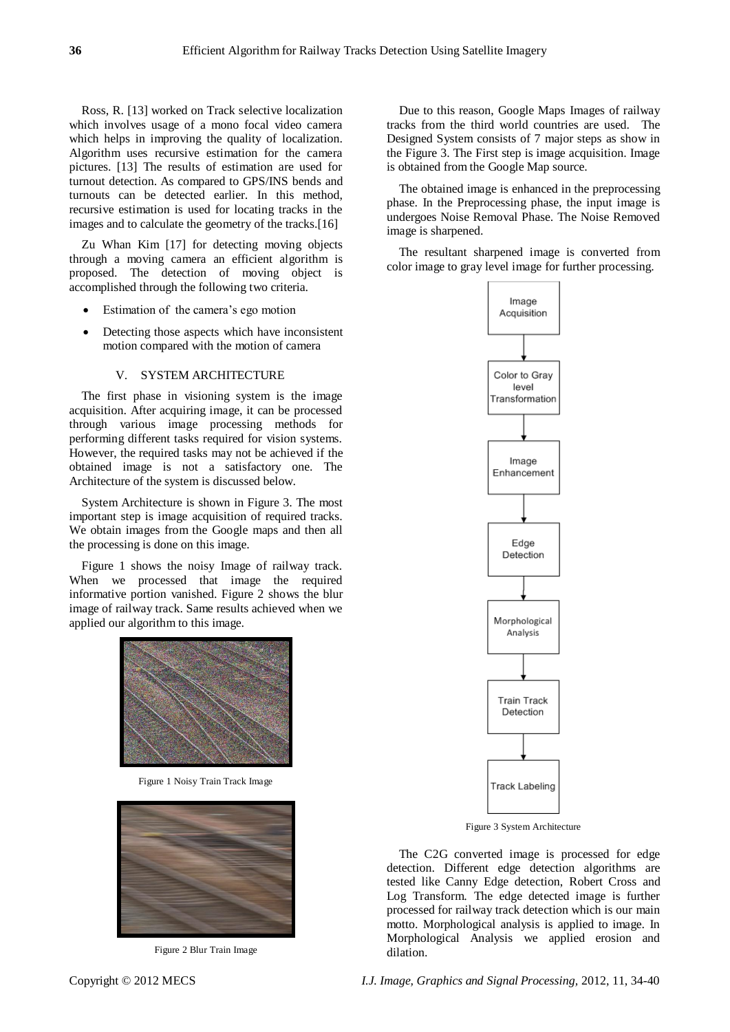Ross, R. [13] worked on Track selective localization which involves usage of a mono focal video camera which helps in improving the quality of localization. Algorithm uses recursive estimation for the camera pictures. [13] The results of estimation are used for turnout detection. As compared to GPS/INS bends and turnouts can be detected earlier. In this method, recursive estimation is used for locating tracks in the images and to calculate the geometry of the tracks.[16]

Zu Whan Kim [17] for detecting moving objects through a moving camera an efficient algorithm is proposed. The detection of moving object is accomplished through the following two criteria.

- Estimation of the camera's ego motion
- Detecting those aspects which have inconsistent motion compared with the motion of camera

#### V. SYSTEM ARCHITECTURE

The first phase in visioning system is the image acquisition. After acquiring image, it can be processed through various image processing methods for performing different tasks required for vision systems. However, the required tasks may not be achieved if the obtained image is not a satisfactory one. The Architecture of the system is discussed below.

System Architecture is shown in Figure 3. The most important step is image acquisition of required tracks. We obtain images from the Google maps and then all the processing is done on this image.

Figure 1 shows the noisy Image of railway track. When we processed that image the required informative portion vanished. Figure 2 shows the blur image of railway track. Same results achieved when we applied our algorithm to this image.



Figure 1 Noisy Train Track Image



Figure 2 Blur Train Image

Due to this reason, Google Maps Images of railway tracks from the third world countries are used. The Designed System consists of 7 major steps as show in the Figure 3. The First step is image acquisition. Image is obtained from the Google Map source.

The obtained image is enhanced in the preprocessing phase. In the Preprocessing phase, the input image is undergoes Noise Removal Phase. The Noise Removed image is sharpened.

The resultant sharpened image is converted from color image to gray level image for further processing.



Figure 3 System Architecture

The C2G converted image is processed for edge detection. Different edge detection algorithms are tested like Canny Edge detection, Robert Cross and Log Transform. The edge detected image is further processed for railway track detection which is our main motto. Morphological analysis is applied to image. In Morphological Analysis we applied erosion and dilation.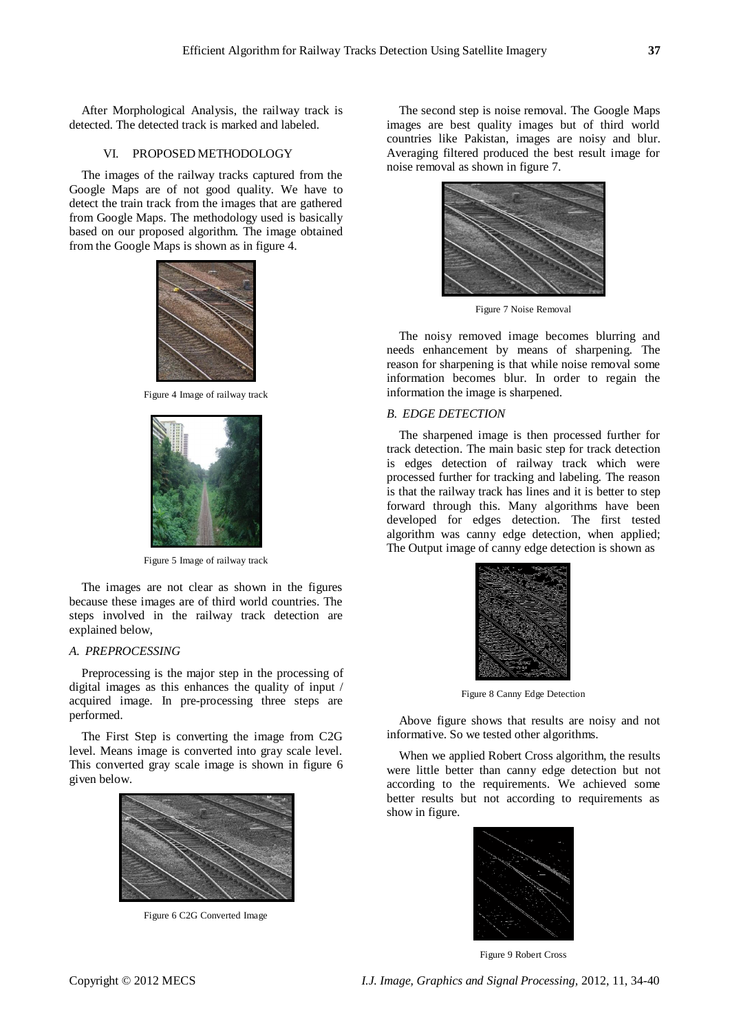After Morphological Analysis, the railway track is detected. The detected track is marked and labeled.

# VI. PROPOSED METHODOLOGY

The images of the railway tracks captured from the Google Maps are of not good quality. We have to detect the train track from the images that are gathered from Google Maps. The methodology used is basically based on our proposed algorithm. The image obtained from the Google Maps is shown as in figure 4.



Figure 4 Image of railway track



Figure 5 Image of railway track

The images are not clear as shown in the figures because these images are of third world countries. The steps involved in the railway track detection are explained below,

# *A. PREPROCESSING*

Preprocessing is the major step in the processing of digital images as this enhances the quality of input / acquired image. In pre-processing three steps are performed.

The First Step is converting the image from C2G level. Means image is converted into gray scale level. This converted gray scale image is shown in figure 6 given below.



Figure 6 C2G Converted Image

The second step is noise removal. The Google Maps images are best quality images but of third world countries like Pakistan, images are noisy and blur. Averaging filtered produced the best result image for noise removal as shown in figure 7.



Figure 7 Noise Removal

The noisy removed image becomes blurring and needs enhancement by means of sharpening. The reason for sharpening is that while noise removal some information becomes blur. In order to regain the information the image is sharpened.

# *B. EDGE DETECTION*

The sharpened image is then processed further for track detection. The main basic step for track detection is edges detection of railway track which were processed further for tracking and labeling. The reason is that the railway track has lines and it is better to step forward through this. Many algorithms have been developed for edges detection. The first tested algorithm was canny edge detection, when applied; The Output image of canny edge detection is shown as



Figure 8 Canny Edge Detection

Above figure shows that results are noisy and not informative. So we tested other algorithms.

When we applied Robert Cross algorithm, the results were little better than canny edge detection but not according to the requirements. We achieved some better results but not according to requirements as show in figure.



Figure 9 Robert Cross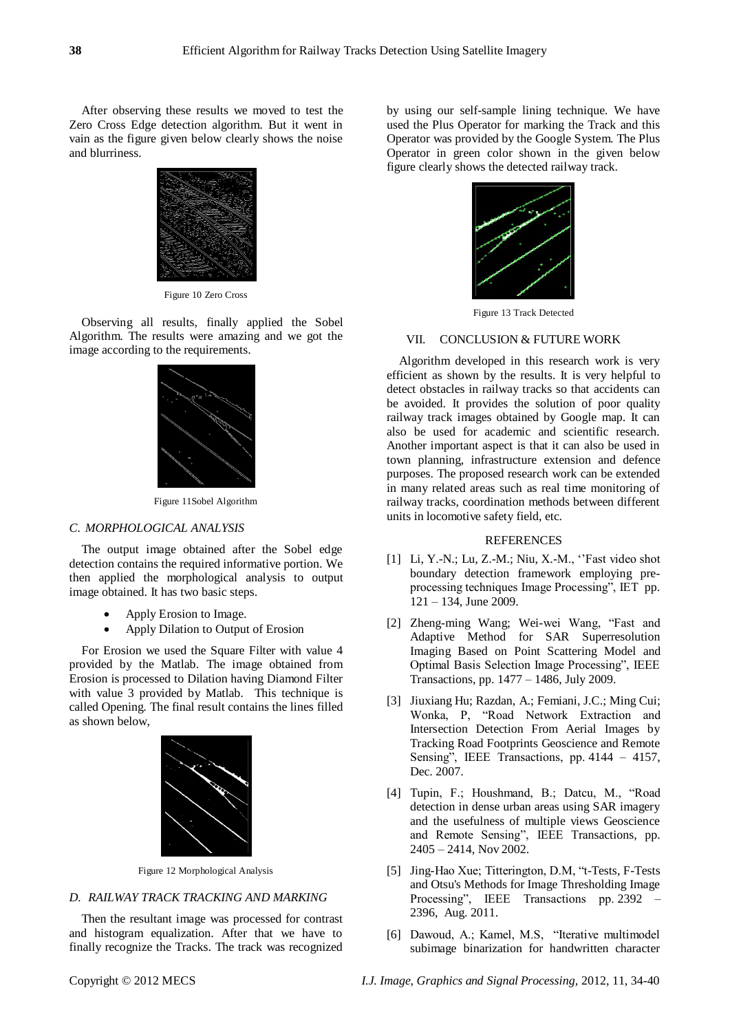After observing these results we moved to test the Zero Cross Edge detection algorithm. But it went in vain as the figure given below clearly shows the noise and blurriness.



Figure 10 Zero Cross

Observing all results, finally applied the Sobel Algorithm. The results were amazing and we got the image according to the requirements.



Figure 11Sobel Algorithm

#### *C. MORPHOLOGICAL ANALYSIS*

The output image obtained after the Sobel edge detection contains the required informative portion. We then applied the morphological analysis to output image obtained. It has two basic steps.

- Apply Erosion to Image.
- Apply Dilation to Output of Erosion

For Erosion we used the Square Filter with value 4 provided by the Matlab. The image obtained from Erosion is processed to Dilation having Diamond Filter with value 3 provided by Matlab. This technique is called Opening. The final result contains the lines filled as shown below,



Figure 12 Morphological Analysis

# *D. RAILWAY TRACK TRACKING AND MARKING*

Then the resultant image was processed for contrast and histogram equalization. After that we have to finally recognize the Tracks. The track was recognized by using our self-sample lining technique. We have used the Plus Operator for marking the Track and this Operator was provided by the Google System. The Plus Operator in green color shown in the given below figure clearly shows the detected railway track.



Figure 13 Track Detected

#### VII. CONCLUSION & FUTURE WORK

Algorithm developed in this research work is very efficient as shown by the results. It is very helpful to detect obstacles in railway tracks so that accidents can be avoided. It provides the solution of poor quality railway track images obtained by Google map. It can also be used for academic and scientific research. Another important aspect is that it can also be used in town planning, infrastructure extension and defence purposes. The proposed research work can be extended in many related areas such as real time monitoring of railway tracks, coordination methods between different units in locomotive safety field, etc.

#### REFERENCES

- [1] Li, Y.-N.; Lu, Z.-M.; Niu, X.-M., "Fast video shot boundary detection framework employing preprocessing techniques Image Processing", IET pp. 121 – 134, June 2009.
- [2] Zheng-ming Wang; Wei-wei Wang, "Fast and Adaptive Method for SAR Superresolution Imaging Based on Point Scattering Model and Optimal Basis Selection Image Processing", IEEE Transactions, pp. 1477 – 1486, July 2009.
- [3] Jiuxiang Hu; Razdan, A.; Femiani, J.C.; Ming Cui; Wonka, P, "Road Network Extraction and Intersection Detection From Aerial Images by Tracking Road Footprints Geoscience and Remote Sensing", IEEE Transactions, pp. 4144 - 4157, Dec. 2007.
- [4] Tupin, F.; Houshmand, B.; Datcu, M., "Road detection in dense urban areas using SAR imagery and the usefulness of multiple views Geoscience and Remote Sensing", IEEE Transactions, pp. 2405 – 2414, Nov 2002.
- [5] Jing-Hao Xue; Titterington, D.M, "t-Tests, F-Tests and Otsu's Methods for Image Thresholding Image Processing", IEEE Transactions pp. 2392 – 2396, Aug. 2011.
- [6] Dawoud, A.; Kamel, M.S, "Iterative multimodel subimage binarization for handwritten character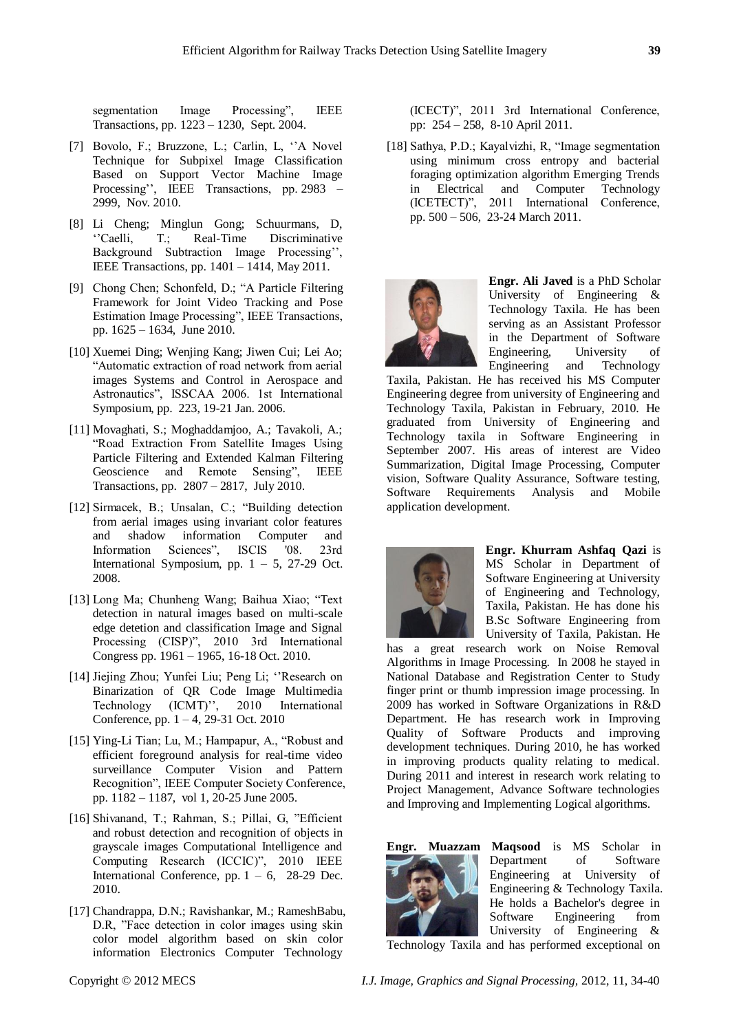segmentation Image Processing", IEEE Transactions, pp. 1223 – 1230, Sept. 2004.

- [7] Bovolo, F.; Bruzzone, L.; Carlin, L, "A Novel Technique for Subpixel Image Classification Based on Support Vector Machine Image Processing'', IEEE Transactions, pp. 2983 – 2999, Nov. 2010.
- [8] Li Cheng; Minglun Gong; Schuurmans, D, ‗'Caelli, T.; Real-Time Discriminative Background Subtraction Image Processing'', IEEE Transactions, pp. 1401 – 1414, May 2011.
- [9] Chong Chen; Schonfeld, D.; "A Particle Filtering Framework for Joint Video Tracking and Pose Estimation Image Processing", IEEE Transactions, pp. 1625 – 1634, June 2010.
- [10] Xuemei Ding; Wenjing Kang; Jiwen Cui; Lei Ao; ―Automatic extraction of road network from aerial images Systems and Control in Aerospace and Astronautics", ISSCAA 2006. 1st International Symposium, pp. 223, 19-21 Jan. 2006.
- [11] Movaghati, S.; Moghaddamjoo, A.; Tavakoli, A.; ―Road Extraction From Satellite Images Using Particle Filtering and Extended Kalman Filtering Geoscience and Remote Sensing", IEEE Transactions, pp. 2807 – 2817, July 2010.
- [12] Sirmacek, B.; Unsalan, C.; "Building detection from aerial images using invariant color features and shadow information Computer and Information Sciences", ISCIS '08. 23rd International Symposium, pp.  $1 - 5$ , 27-29 Oct. 2008.
- [13] Long Ma; Chunheng Wang; Baihua Xiao; "Text detection in natural images based on multi-scale edge detetion and classification Image and Signal Processing (CISP)", 2010 3rd International Congress pp. 1961 – 1965, 16-18 Oct. 2010.
- [14] Jiejing Zhou; Yunfei Liu; Peng Li; ‗'Research on Binarization of QR Code Image Multimedia Technology (ICMT)'', 2010 International Conference, pp. 1 – 4, 29-31 Oct. 2010
- [15] Ying-Li Tian; Lu, M.; Hampapur, A., "Robust and efficient foreground analysis for real-time video surveillance Computer Vision and Pattern Recognition", IEEE Computer Society Conference, pp. 1182 – 1187, vol 1, 20-25 June 2005.
- [16] Shivanand, T.; Rahman, S.; Pillai, G, "Efficient and robust detection and recognition of objects in grayscale images Computational Intelligence and Computing Research (ICCIC)", 2010 IEEE International Conference, pp.  $1 - 6$ , 28-29 Dec. 2010.
- [17] Chandrappa, D.N.; Ravishankar, M.; RameshBabu, D.R, "Face detection in color images using skin color model algorithm based on skin color information Electronics Computer Technology

(ICECT)", 2011 3rd International Conference, pp: 254 – 258, 8-10 April 2011.

[18] Sathya, P.D.; Kayalvizhi, R, "Image segmentation using minimum cross entropy and bacterial foraging optimization algorithm Emerging Trends in Electrical and Computer Technology (ICETECT)", 2011 International Conference, pp. 500 – 506, 23-24 March 2011.



**Engr. Ali Javed** is a PhD Scholar University of Engineering & Technology Taxila. He has been serving as an Assistant Professor in the Department of Software Engineering, University of Engineering and Technology

Taxila, Pakistan. He has received his MS Computer Engineering degree from university of Engineering and Technology Taxila, Pakistan in February, 2010. He graduated from University of Engineering and Technology taxila in Software Engineering in September 2007. His areas of interest are Video Summarization, Digital Image Processing, Computer vision, Software Quality Assurance, Software testing, Software Requirements Analysis and Mobile application development.



**Engr. Khurram Ashfaq Qazi** is MS Scholar in Department of Software Engineering at University of Engineering and Technology, Taxila, Pakistan. He has done his B.Sc Software Engineering from University of Taxila, Pakistan. He

has a great research work on Noise Removal Algorithms in Image Processing. In 2008 he stayed in National Database and Registration Center to Study finger print or thumb impression image processing. In 2009 has worked in Software Organizations in R&D Department. He has research work in Improving Quality of Software Products and improving development techniques. During 2010, he has worked in improving products quality relating to medical. During 2011 and interest in research work relating to Project Management, Advance Software technologies and Improving and Implementing Logical algorithms.



**Engr. Muazzam Maqsood** is MS Scholar in Department of Software Engineering at University of Engineering & Technology Taxila. He holds a Bachelor's degree in Software Engineering from University of Engineering &

Technology Taxila and has performed exceptional on